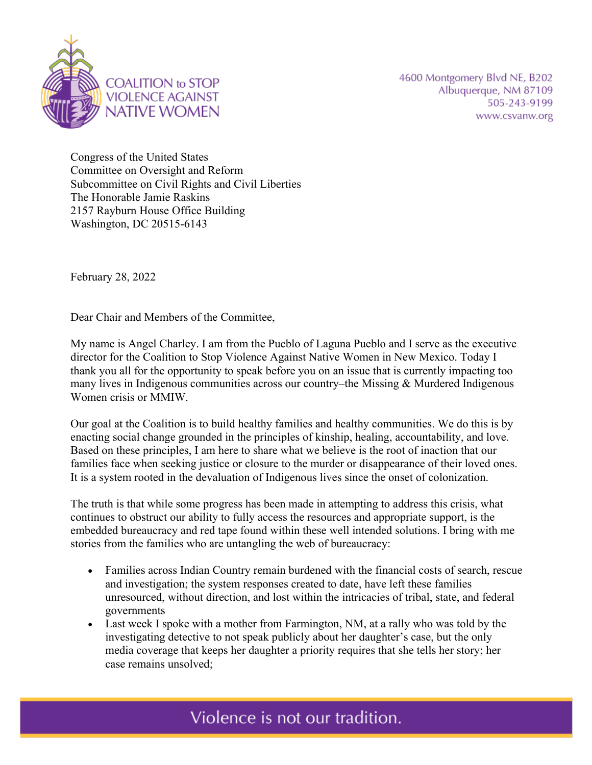

Congress of the United States Committee on Oversight and Reform Subcommittee on Civil Rights and Civil Liberties The Honorable Jamie Raskins 2157 Rayburn House Office Building Washington, DC 20515-6143

February 28, 2022

Dear Chair and Members of the Committee,

My name is Angel Charley. I am from the Pueblo of Laguna Pueblo and I serve as the executive director for the Coalition to Stop Violence Against Native Women in New Mexico. Today I thank you all for the opportunity to speak before you on an issue that is currently impacting too many lives in Indigenous communities across our country–the Missing & Murdered Indigenous Women crisis or MMIW.

Our goal at the Coalition is to build healthy families and healthy communities. We do this is by enacting social change grounded in the principles of kinship, healing, accountability, and love. Based on these principles, I am here to share what we believe is the root of inaction that our families face when seeking justice or closure to the murder or disappearance of their loved ones. It is a system rooted in the devaluation of Indigenous lives since the onset of colonization.

The truth is that while some progress has been made in attempting to address this crisis, what continues to obstruct our ability to fully access the resources and appropriate support, is the embedded bureaucracy and red tape found within these well intended solutions. I bring with me stories from the families who are untangling the web of bureaucracy:

- Families across Indian Country remain burdened with the financial costs of search, rescue and investigation; the system responses created to date, have left these families unresourced, without direction, and lost within the intricacies of tribal, state, and federal governments
- Last week I spoke with a mother from Farmington, NM, at a rally who was told by the investigating detective to not speak publicly about her daughter's case, but the only media coverage that keeps her daughter a priority requires that she tells her story; her case remains unsolved;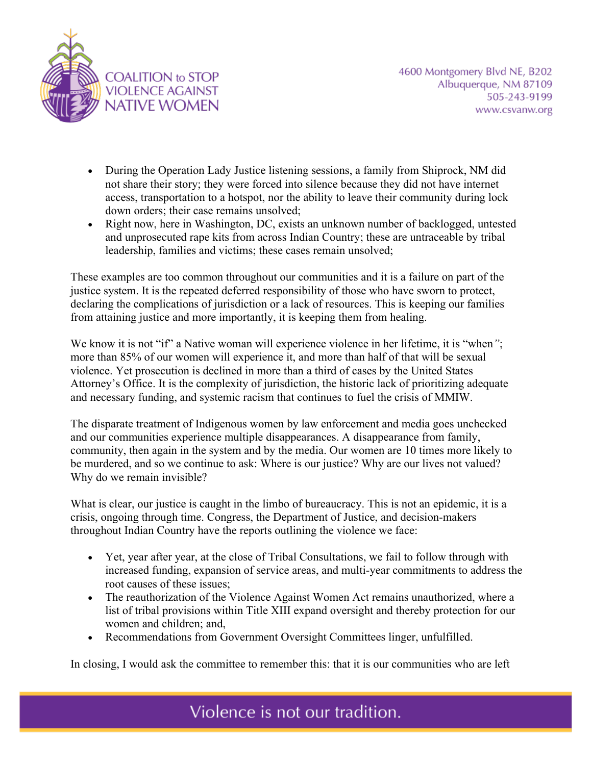

- During the Operation Lady Justice listening sessions, a family from Shiprock, NM did not share their story; they were forced into silence because they did not have internet access, transportation to a hotspot, nor the ability to leave their community during lock down orders; their case remains unsolved;
- Right now, here in Washington, DC, exists an unknown number of backlogged, untested and unprosecuted rape kits from across Indian Country; these are untraceable by tribal leadership, families and victims; these cases remain unsolved;

These examples are too common throughout our communities and it is a failure on part of the justice system. It is the repeated deferred responsibility of those who have sworn to protect, declaring the complications of jurisdiction or a lack of resources. This is keeping our families from attaining justice and more importantly, it is keeping them from healing.

We know it is not "if" a Native woman will experience violence in her lifetime, it is "when*"*; more than 85% of our women will experience it, and more than half of that will be sexual violence. Yet prosecution is declined in more than a third of cases by the United States Attorney's Office. It is the complexity of jurisdiction, the historic lack of prioritizing adequate and necessary funding, and systemic racism that continues to fuel the crisis of MMIW.

The disparate treatment of Indigenous women by law enforcement and media goes unchecked and our communities experience multiple disappearances. A disappearance from family, community, then again in the system and by the media. Our women are 10 times more likely to be murdered, and so we continue to ask: Where is our justice? Why are our lives not valued? Why do we remain invisible?

What is clear, our justice is caught in the limbo of bureaucracy. This is not an epidemic, it is a crisis, ongoing through time. Congress, the Department of Justice, and decision-makers throughout Indian Country have the reports outlining the violence we face:

- Yet, year after year, at the close of Tribal Consultations, we fail to follow through with increased funding, expansion of service areas, and multi-year commitments to address the root causes of these issues;
- The reauthorization of the Violence Against Women Act remains unauthorized, where a list of tribal provisions within Title XIII expand oversight and thereby protection for our women and children; and,
- Recommendations from Government Oversight Committees linger, unfulfilled.

In closing, I would ask the committee to remember this: that it is our communities who are left

Violence is not our tradition.